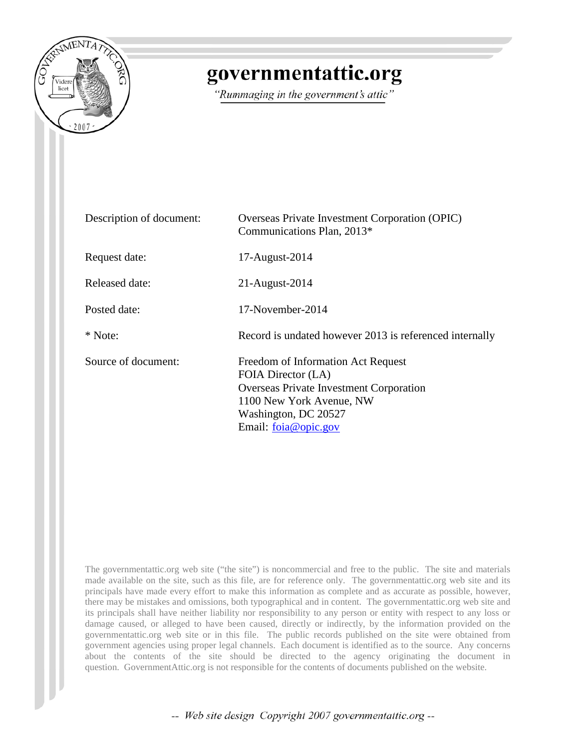

# governmentattic.org

"Rummaging in the government's attic"

| Description of document: | Overseas Private Investment Corporation (OPIC)<br>Communications Plan, 2013*                                                                                                           |
|--------------------------|----------------------------------------------------------------------------------------------------------------------------------------------------------------------------------------|
| Request date:            | 17-August-2014                                                                                                                                                                         |
| Released date:           | 21-August-2014                                                                                                                                                                         |
| Posted date:             | 17-November-2014                                                                                                                                                                       |
| * Note:                  | Record is undated however 2013 is referenced internally                                                                                                                                |
| Source of document:      | Freedom of Information Act Request<br>FOIA Director (LA)<br><b>Overseas Private Investment Corporation</b><br>1100 New York Avenue, NW<br>Washington, DC 20527<br>Email: foia@opic.gov |

The governmentattic.org web site ("the site") is noncommercial and free to the public. The site and materials made available on the site, such as this file, are for reference only. The governmentattic.org web site and its principals have made every effort to make this information as complete and as accurate as possible, however, there may be mistakes and omissions, both typographical and in content. The governmentattic.org web site and its principals shall have neither liability nor responsibility to any person or entity with respect to any loss or damage caused, or alleged to have been caused, directly or indirectly, by the information provided on the governmentattic.org web site or in this file. The public records published on the site were obtained from government agencies using proper legal channels. Each document is identified as to the source. Any concerns about the contents of the site should be directed to the agency originating the document in question. GovernmentAttic.org is not responsible for the contents of documents published on the website.

-- Web site design Copyright 2007 governmentattic.org --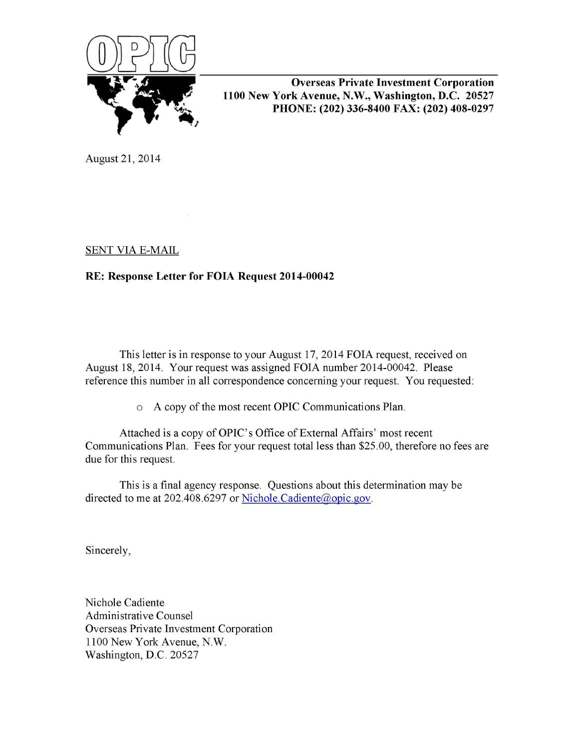

**Overseas Private Investment Corporation 1100 New York Avenue, N.W., Washington, D.C. 20527 PHONE: (202) 336-8400 FAX: (202) 408-0297** 

August 21, 2014

# SENT VIA E-MAIL

# **RE: Response Letter for FOIA Request 2014-00042**

This letter is in response to your August 17, 2014 FOIA request, received on August 18, 2014. Your request was assigned FOIA number 2014-00042. Please reference this number in all correspondence concerning your request. You requested:

o A copy of the most recent OPIC Communications Plan.

Attached is a copy of OPIC's Office of External Affairs' most recent Communications Plan. Fees for your request total less than \$25.00, therefore no fees are due for this request.

This is a final agency response. Questions about this determination may be directed to me at 202.408.6297 or Nichole.Cadiente@opic.gov.

Sincerely,

Nichole Cadiente Administrative Counsel Overseas Private Investment Corporation 1100 New York Avenue, N.W. Washington, D.C. 20527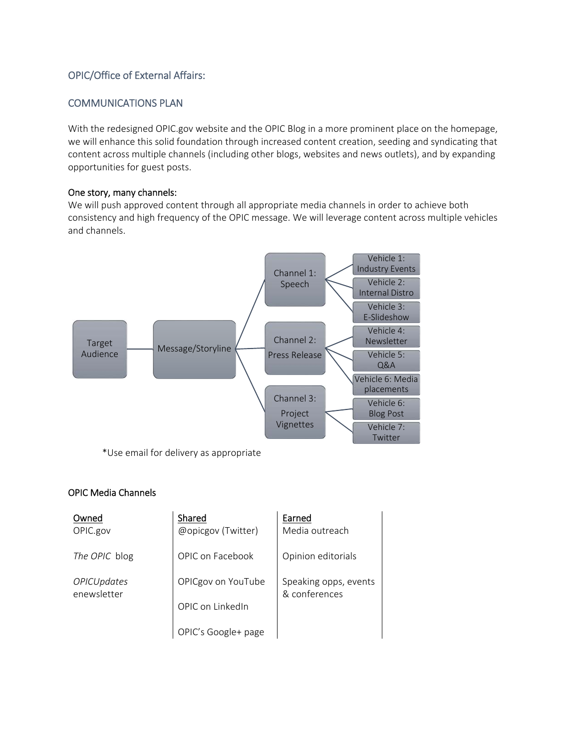# OPIC/Office of External Affairs:

# COMMUNICATIONS PLAN

With the redesigned OPIC.gov website and the OPIC Blog in a more prominent place on the homepage, we will enhance this solid foundation through increased content creation, seeding and syndicating that content across multiple channels (including other blogs, websites and news outlets), and by expanding opportunities for guest posts.

#### One story, many channels:

We will push approved content through all appropriate media channels in order to achieve both consistency and high frequency of the OPIC message. We will leverage content across multiple vehicles and channels.



\*Use email for delivery as appropriate

#### OPIC Media Channels

| Owned                             | Shared              | Earned<br>Media outreach               |  |
|-----------------------------------|---------------------|----------------------------------------|--|
| OPIC.gov                          | @opicgov (Twitter)  |                                        |  |
| The OPIC blog                     | OPIC on Facebook    | Opinion editorials                     |  |
| <b>OPICUpdates</b><br>enewsletter | OPICgov on YouTube  | Speaking opps, events<br>& conferences |  |
|                                   | OPIC on LinkedIn    |                                        |  |
|                                   | OPIC's Google+ page |                                        |  |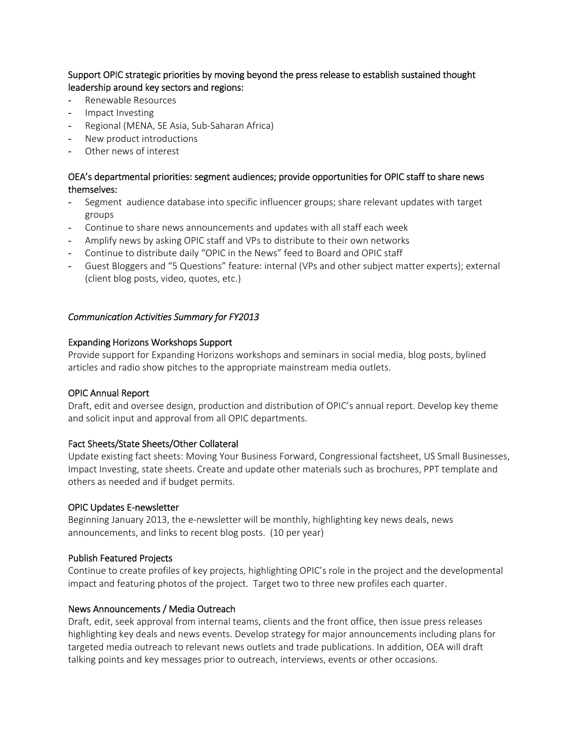Support OPIC strategic priorities by moving beyond the press release to establish sustained thought leadership around key sectors and regions:

- Renewable Resources
- Impact Investing
- Regional (MENA, SE Asia, Sub‐Saharan Africa)
- New product introductions
- Other news of interest

# OEA's departmental priorities: segment audiences; provide opportunities for OPIC staff to share news themselves:

- Segment audience database into specific influencer groups; share relevant updates with target groups
- Continue to share news announcements and updates with all staff each week
- Amplify news by asking OPIC staff and VPs to distribute to their own networks
- Continue to distribute daily "OPIC in the News" feed to Board and OPIC staff
- Guest Bloggers and "5 Questions" feature: internal (VPs and other subject matter experts); external (client blog posts, video, quotes, etc.)

# *Communication Activities Summary for FY2013*

#### Expanding Horizons Workshops Support

Provide support for Expanding Horizons workshops and seminars in social media, blog posts, bylined articles and radio show pitches to the appropriate mainstream media outlets.

#### OPIC Annual Report

Draft, edit and oversee design, production and distribution of OPIC's annual report. Develop key theme and solicit input and approval from all OPIC departments.

#### Fact Sheets/State Sheets/Other Collateral

Update existing fact sheets: Moving Your Business Forward, Congressional factsheet, US Small Businesses, Impact Investing, state sheets. Create and update other materials such as brochures, PPT template and others as needed and if budget permits.

#### OPIC Updates E‐newsletter

Beginning January 2013, the e-newsletter will be monthly, highlighting key news deals, news announcements, and links to recent blog posts. (10 per year)

#### Publish Featured Projects

Continue to create profiles of key projects, highlighting OPIC's role in the project and the developmental impact and featuring photos of the project. Target two to three new profiles each quarter.

#### News Announcements / Media Outreach

Draft, edit, seek approval from internal teams, clients and the front office, then issue press releases highlighting key deals and news events. Develop strategy for major announcements including plans for targeted media outreach to relevant news outlets and trade publications. In addition, OEA will draft talking points and key messages prior to outreach, interviews, events or other occasions.